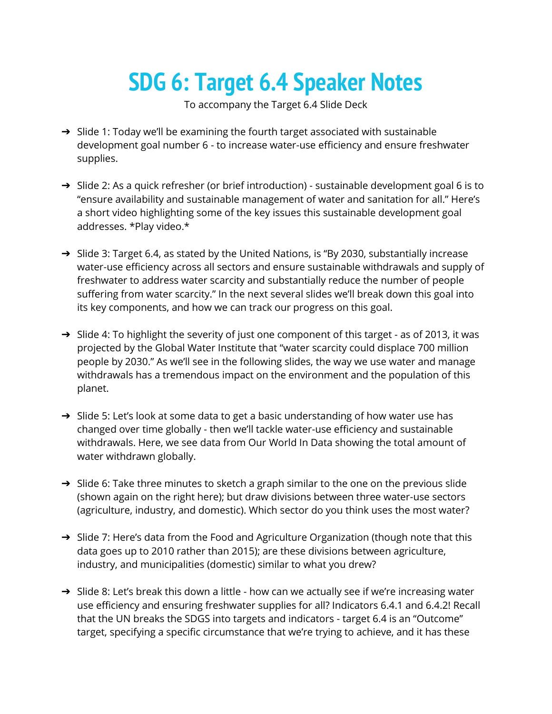## **SDG 6: Target 6.4 Speaker Notes**

To accompany the Target 6.4 Slide Deck

- → Slide 1: Today we'll be examining the fourth target associated with sustainable development goal number 6 - to increase water-use efficiency and ensure freshwater supplies.
- $\rightarrow$  Slide 2: As a quick refresher (or brief introduction) sustainable development goal 6 is to "ensure availability and sustainable management of water and sanitation for all." Here's a short video highlighting some of the key issues this sustainable development goal addresses. \*Play video.\*
- ➔ Slide 3: Target 6.4, as stated by the United Nations, is "By 2030, substantially increase water-use efficiency across all sectors and ensure sustainable withdrawals and supply of freshwater to address water scarcity and substantially reduce the number of people suffering from water scarcity." In the next several slides we'll break down this goal into its key components, and how we can track our progress on this goal.
- $\rightarrow$  Slide 4: To highlight the severity of just one component of this target as of 2013, it was projected by the Global Water Institute that "water scarcity could displace 700 million people by 2030." As we'll see in the following slides, the way we use water and manage withdrawals has a tremendous impact on the environment and the population of this planet.
- → Slide 5: Let's look at some data to get a basic understanding of how water use has changed over time globally - then we'll tackle water-use efficiency and sustainable withdrawals. Here, we see data from Our World In Data showing the total amount of water withdrawn globally.
- → Slide 6: Take three minutes to sketch a graph similar to the one on the previous slide (shown again on the right here); but draw divisions between three water-use sectors (agriculture, industry, and domestic). Which sector do you think uses the most water?
- → Slide 7: Here's data from the Food and Agriculture Organization (though note that this data goes up to 2010 rather than 2015); are these divisions between agriculture, industry, and municipalities (domestic) similar to what you drew?
- $\rightarrow$  Slide 8: Let's break this down a little how can we actually see if we're increasing water use efficiency and ensuring freshwater supplies for all? Indicators 6.4.1 and 6.4.2! Recall that the UN breaks the SDGS into targets and indicators - target 6.4 is an "Outcome" target, specifying a specific circumstance that we're trying to achieve, and it has these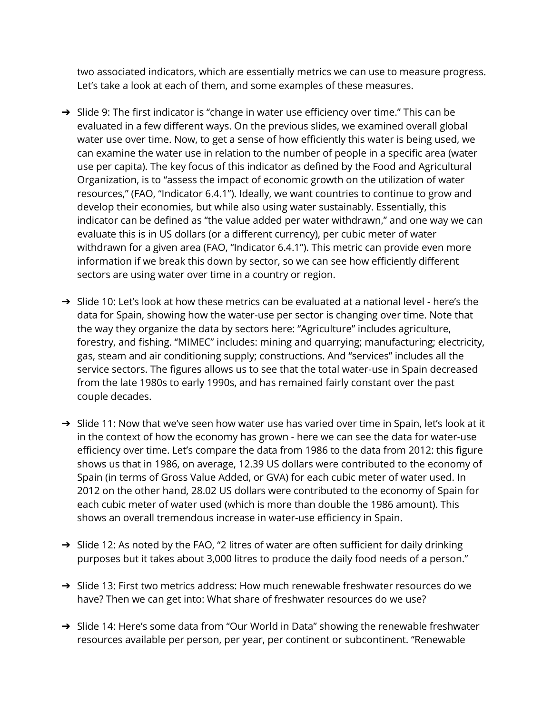two associated indicators, which are essentially metrics we can use to measure progress. Let's take a look at each of them, and some examples of these measures.

- ➔ Slide 9: The first indicator is "change in water use efficiency over time." This can be evaluated in a few different ways. On the previous slides, we examined overall global water use over time. Now, to get a sense of how efficiently this water is being used, we can examine the water use in relation to the number of people in a specific area (water use per capita). The key focus of this indicator as defined by the Food and Agricultural Organization, is to "assess the impact of economic growth on the utilization of water resources," (FAO, "Indicator 6.4.1"). Ideally, we want countries to continue to grow and develop their economies, but while also using water sustainably. Essentially, this indicator can be defined as "the value added per water withdrawn," and one way we can evaluate this is in US dollars (or a different currency), per cubic meter of water withdrawn for a given area (FAO, "Indicator 6.4.1"). This metric can provide even more information if we break this down by sector, so we can see how efficiently different sectors are using water over time in a country or region.
- → Slide 10: Let's look at how these metrics can be evaluated at a national level here's the data for Spain, showing how the water-use per sector is changing over time. Note that the way they organize the data by sectors here: "Agriculture" includes agriculture, forestry, and fishing. "MIMEC" includes: mining and quarrying; manufacturing; electricity, gas, steam and air conditioning supply; constructions. And "services" includes all the service sectors. The figures allows us to see that the total water-use in Spain decreased from the late 1980s to early 1990s, and has remained fairly constant over the past couple decades.
- → Slide 11: Now that we've seen how water use has varied over time in Spain, let's look at it in the context of how the economy has grown - here we can see the data for water-use efficiency over time. Let's compare the data from 1986 to the data from 2012: this figure shows us that in 1986, on average, 12.39 US dollars were contributed to the economy of Spain (in terms of Gross Value Added, or GVA) for each cubic meter of water used. In 2012 on the other hand, 28.02 US dollars were contributed to the economy of Spain for each cubic meter of water used (which is more than double the 1986 amount). This shows an overall tremendous increase in water-use efficiency in Spain.
- → Slide 12: As noted by the FAO, "2 litres of water are often sufficient for daily drinking purposes but it takes about 3,000 litres to produce the daily food needs of a person."
- → Slide 13: First two metrics address: How much renewable freshwater resources do we have? Then we can get into: What share of freshwater resources do we use?
- → Slide 14: Here's some data from "Our World in Data" showing the renewable freshwater resources available per person, per year, per continent or subcontinent. "Renewable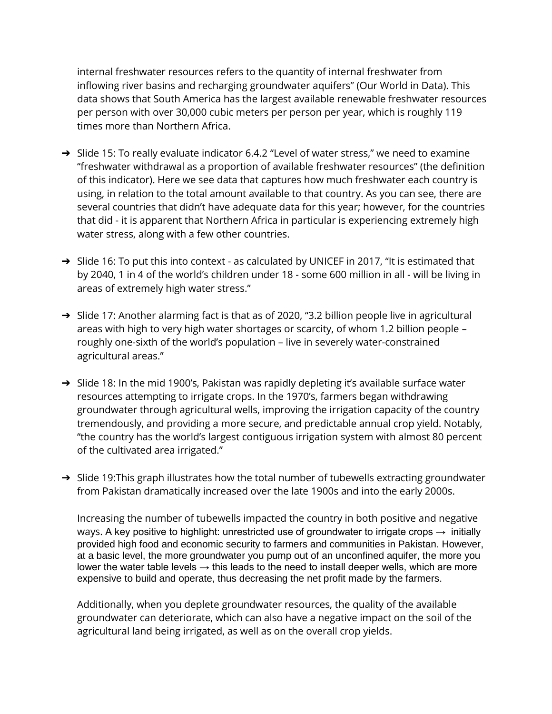internal freshwater resources refers to the quantity of internal freshwater from inflowing river basins and recharging groundwater aquifers" (Our World in Data). This data shows that South America has the largest available renewable freshwater resources per person with over 30,000 cubic meters per person per year, which is roughly 119 times more than Northern Africa.

- ➔ Slide 15: To really evaluate indicator 6.4.2 "Level of water stress," we need to examine "freshwater withdrawal as a proportion of available freshwater resources" (the definition of this indicator). Here we see data that captures how much freshwater each country is using, in relation to the total amount available to that country. As you can see, there are several countries that didn't have adequate data for this year; however, for the countries that did - it is apparent that Northern Africa in particular is experiencing extremely high water stress, along with a few other countries.
- → Slide 16: To put this into context as calculated by UNICEF in 2017, "It is estimated that by 2040, 1 in 4 of the world's children under 18 - some 600 million in all - will be living in areas of extremely high water stress."
- → Slide 17: Another alarming fact is that as of 2020, "3.2 billion people live in agricultural areas with high to very high water shortages or scarcity, of whom 1.2 billion people – roughly one-sixth of the world's population – live in severely water-constrained agricultural areas."
- → Slide 18: In the mid 1900's, Pakistan was rapidly depleting it's available surface water resources attempting to irrigate crops. In the 1970's, farmers began withdrawing groundwater through agricultural wells, improving the irrigation capacity of the country tremendously, and providing a more secure, and predictable annual crop yield. Notably, "the country has the world's largest contiguous irrigation system with almost 80 percent of the cultivated area irrigated."
- $\rightarrow$  Slide 19: This graph illustrates how the total number of tubewells extracting groundwater from Pakistan dramatically increased over the late 1900s and into the early 2000s.

Increasing the number of tubewells impacted the country in both positive and negative ways. A key positive to highlight: unrestricted use of groundwater to irrigate crops  $\rightarrow$  initially provided high food and economic security to farmers and communities in Pakistan. However, at a basic level, the more groundwater you pump out of an unconfined aquifer, the more you lower the water table levels  $\rightarrow$  this leads to the need to install deeper wells, which are more expensive to build and operate, thus decreasing the net profit made by the farmers.

Additionally, when you deplete groundwater resources, the quality of the available groundwater can deteriorate, which can also have a negative impact on the soil of the agricultural land being irrigated, as well as on the overall crop yields.